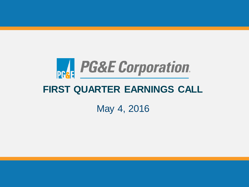

# **FIRST QUARTER EARNINGS CALL**

May 4, 2016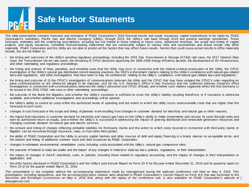

## **Safe Harbor Statements**

This slide presentation contains forecasts and estimates of PG&E Corporation's 2016 financial results and equity issuances, capital expenditures to be made by PG&E Corporation's subsidiary, Pacific Gas and Electric Company (Utility), through 2019, the Utility's rate base through 2019 and general earnings sensitivities. These forecasts, estimates and the underlying assumptions, including but not limited to those relating to future costs, authorized revenues, the scope and timing of capital projects, and equity issuances, constitute forw ard-looking statements that are necessarily subject to various risks and uncertainties and actual results may differ materially. PG&E Corporation and the Utility are not able to predict all the factors that may affect future results. Factors that could cause actual results to differ materially include, but are not limited to:

- the timing and outcomes of the Utility's pending regulatory proceedings, including the 2015 Gas Transmission & Storage (GT&S) rate case, the 2017 General Rate Case, the Transmission Ow ner rate cases, the rehearing of CPUC decisions approving the 2006-2008 energy efficiency aw ards, the development of EV infrastructure, and other ratemaking and regulatory proceedings;
- the timing and amount of fines, penalties, and remedial costs that the Utility may incur in connection w ith the federal criminal prosecution of the Utility, the CPUC investigation of the Utility's natural gas distribution record-keeping practices, the SED's enforcement matters relating to the Utility's compliance w ith natural gas-related law s and regulations, and other investigations that have been or may be commenced relating to the Utility's compliance w ith natural gas-related law s and regulations;
- the timing and outcome of (i) the CPUC's investigation of communications betw een the Utility and the CPUC that may have violated the CPUC's rules regarding ex parte communications or are otherw ise alleged to be improper, and (ii) the U.S. Attorney's Office in San Francisco and the California Attorney General's office investigations in connection w ith communications betw een the Utility's personnel and CPUC officials, and w hether such matters negatively affect the final decisions to be issued in the 2015 GT&S rate case or other ratemaking proceedings;
- the outcome of the Butte fire litigation, and w hether the Utility's insurance is sufficient to cover the Utility's liability resulting therefrom, or if insurance is otherw ise available; and w hether additional investigations and proceedings w ill be opened;
- the Utility's ability to control its costs w ithin the authorized levels of spending and the extent to w hich the Utility incurs unrecoverable costs that are higher than the forecasts of such costs;
- changes in cost forecasts or the scope and timing of planned w ork resulting from changes in customer demand for electricity and natural gas or other reasons;
- the impact that reductions in customer demand for electricity and natural gas have on the Utility's ability to make investments and recover its costs through rates and earn its authorized return on equity, and w hether the Utility's is successful in addressing the impact of growing distributed and renew able generation resources and changing customer demand for natural gas and electric services;
- the amount and timing of charges reflecting probable liabilities for third-party claims and the extent to w hich costs incurred in connection w ith third-party claims or litigation can be recovered through insurance, rates, or from other third parties;
- the ability of PG&E Corporation and the Utility to access capital markets and other sources of debt and equity financing in a timely manner on acceptable terms, and the amount and timing of additional common stock and debt issuances by PG&E Corporation;
- changes in estimated environmental remediation costs, including costs associated w ith the Utility's natural gas compressor sites;
- the outcome of federal or state tax audits and the impact of any changes in federal or state tax law s, policies, regulations, or their interpretation;
- the impact of changes in GAA P, standards, rules, or policies, including those related to regulatory accounting, and the impact of changes in their interpretation or application; and
- the other factors disclosed in PG&E Corporation's and the Utility's joint Annual Report on Form 10-K for the year ended December 31, 2015 and its quarterly report on Form 10-Q for the quarter ended March 31, 2016.

Securities and Exchange Commission on May 4, 2016 and, along with the replay of the conference call, is also available on PG&E Corporation's website at  $2$ This presentation is not complete without the accompanying statements made by management during the webcast conference call held on May 4, 2016. This presentation, including Appendices, and the accompanying press release were attached to PG&E Corporation's Current Report on Form 8-K that was furnished to the *www.pgecorp.com.*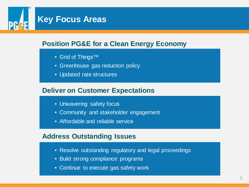

## **Position PG&E for a Clean Energy Economy**

- Grid of Things™
- Greenhouse gas reduction policy
- Updated rate structures

## **Deliver on Customer Expectations**

- Unwavering safety focus
- Community and stakeholder engagement
- Affordable and reliable service

## **Address Outstanding Issues**

- Resolve outstanding regulatory and legal proceedings
- Build strong compliance programs
- Continue to execute gas safety work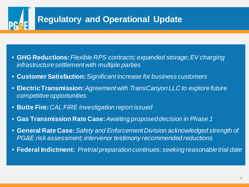# **Regulatory and Operational Update**

- **GHG Reductions:** *Flexible RPS contracts; expanded storage; EV charging infrastructure settlement with multiple parties*
- **Customer Satisfaction:***Significant increase for business customers*
- **Electric Transmission:** *Agreement with TransCanyon LLC to explore future competitive opportunities*
- **Butte Fire:** *CAL FIRE investigation report issued*
- **Gas Transmission Rate Case:***Awaiting proposed decision in Phase 1*
- **General Rate Case:***Safety and Enforcement Division acknowledged strength of PG&E risk assessment; intervenor testimony recommended reductions*
- **Federal Indictment:** *Pretrial preparation continues; seeking reasonable trial date*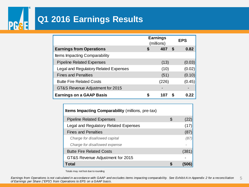## **PRAE Q1 2016 Earnings Results**

|                                              | <b>Earnings</b><br>(millions) |       |      | <b>EPS</b> |  |
|----------------------------------------------|-------------------------------|-------|------|------------|--|
| <b>Earnings from Operations</b>              | S                             | 407   | - \$ | 0.82       |  |
| <b>Items Impacting Comparability</b>         |                               |       |      |            |  |
| <b>Pipeline Related Expenses</b>             |                               | (13)  |      | (0.03)     |  |
| <b>Legal and Regulatory Related Expenses</b> |                               | (10)  |      | (0.02)     |  |
| <b>Fines and Penalties</b>                   |                               | (51)  |      | (0.10)     |  |
| <b>Butte Fire Related Costs</b>              |                               | (226) |      | (0.45)     |  |
| GT&S Revenue Adjustment for 2015             |                               |       |      |            |  |
| <b>Earnings on a GAAP Basis</b>              | S                             | 107   |      | 0.22       |  |

| <b>Items Impacting Comparability (millions, pre-tax)</b> |   |       |
|----------------------------------------------------------|---|-------|
| <b>Pipeline Related Expenses</b>                         | S | (22)  |
| Legal and Regulatory Related Expenses                    |   | (17)  |
| <b>Fines and Penalties</b>                               |   | (87)  |
| Charge for disallowed capital                            |   | (87)  |
| Charge for disallowed expense                            |   |       |
| <b>Butte Fire Related Costs</b>                          |   | (381) |
| GT&S Revenue Adjustment for 2015                         |   |       |
| Total                                                    |   | 1506  |

Totals may not foot due to rounding

5 *Earnings from Operations is not calculated in accordance with GAAP and excludes items impacting comparability. See Exhibit A in Appendix 2 for a reconciliation of Earnings per Share ("EPS") from Operations to EPS on a GAAP basis.*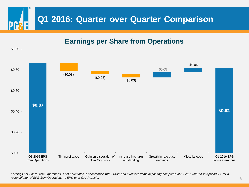

**Earnings per Share from Operations**



*Earnings per Share from Operations is not calculated in accordance with GAAP and excludes items impacting comparability. See Exhibit A in Appendix 2 for a reconciliation of EPS from Operations to EPS on a GAAP basis.*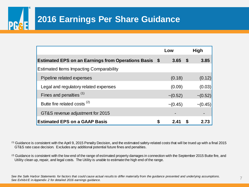# **2016 Earnings Per Share Guidance**

|                                                              | Low           | High          |
|--------------------------------------------------------------|---------------|---------------|
| <b>Estimated EPS on an Earnings from Operations Basis \$</b> | $3.65$ \$     | 3.85          |
| <b>Estimated Items Impacting Comparability</b>               |               |               |
| Pipeline related expenses                                    | (0.18)        | (0.12)        |
| Legal and regulatory related expenses                        | (0.09)        | (0.03)        |
| Fines and penalties <sup>(1)</sup>                           | $\sim (0.52)$ | $\sim (0.52)$ |
| Butte fire related costs <sup>(2)</sup>                      | $\sim (0.45)$ | $\sim (0.45)$ |
| GT&S revenue adjustment for 2015                             |               |               |
| <b>Estimated EPS on a GAAP Basis</b>                         | \$<br>2.41    | \$<br>2.73    |

(1) Guidance is consistent with the April 9, 2015 Penalty Decision, and the estimated safety-related costs that will be trued up with a final 2015 GT&S rate case decision. Excludes any additional potential future fines and penalties.

<sup>(2)</sup> Guidance is consistent with the low end of the range of estimated property damages in connection with the September 2015 Butte fire, and Utility clean up, repair, and legal costs. The Utility is unable to estimate the high end of the range.

See the Safe Harbor Statements for factors that could cause actual results to differ materially from the guidance presented and underlying assumptions. *See Exhibit E in Appendix 2 for detailed 2016 earnings guidance.*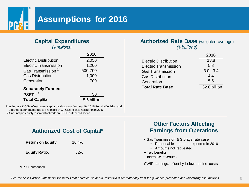

# **Assumptions for 2016**

## **Capital Expenditures**

*(\$ millions)*

|                                 | 2016           |
|---------------------------------|----------------|
| <b>Electric Distribution</b>    | 2,050          |
| <b>Electric Transmission</b>    | 1,200          |
| Gas Transmission <sup>(1)</sup> | 500-700        |
| <b>Gas Distribution</b>         | 1,000          |
| Generation                      | 700            |
| <b>Separately Funded</b>        |                |
| PSEP <sup>(2)</sup>             | 50             |
| <b>Total CapEx</b>              | $~5.6$ billion |

(1) Includes ~\$300M of estimated capital disallowance from April 9, 2015 Penalty Decision and updates expenditures due to likelihood of GT&S rate case resolution in 2016 (2) Amounts previously reserved for limits on PSEP authorized spend

## **Authorized Rate Base** (weighted average) *(\$ billions)*

|                              | 2016            |
|------------------------------|-----------------|
| <b>Electric Distribution</b> | 13.8            |
| <b>Electric Transmission</b> | 5.8             |
| <b>Gas Transmission</b>      | $3.0 - 3.4$     |
| <b>Gas Distribution</b>      | 4.4             |
| Generation                   | 5.5             |
| <b>Total Rate Base</b>       | $~22.6$ billion |

## **Authorized Cost of Capital\***

**Return on Equity:** 10.4% **Equity Ratio:** 52%

\*CPUC authorized

## **Other Factors Affecting Earnings from Operations**

- **-** Gas Transmission & Storage rate case
	- Reasonable outcome expected in 2016
	- Amounts not requested
- **+** Tax benefits
- **+** Incentive revenues

CWIP earnings: offset by below-the-line costs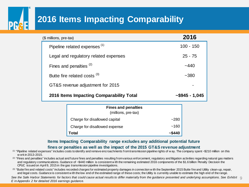# **2016 Items Impacting Comparability**

| (\$ millions, pre-tax)                            | 2016            |
|---------------------------------------------------|-----------------|
| Pipeline related expenses <sup>(1)</sup>          | $100 - 150$     |
| Legal and regulatory related expenses             | $25 - 75$       |
| Fines and penalties $(2)$                         | ~440            |
| Butte fire related costs <sup>(3)</sup>           | $-380$          |
| GT&S revenue adjustment for 2015                  |                 |
| 2016 Items Impacting Comparability Total          | $~5945 - 1,045$ |
| <b>Fines and penalties</b><br>(millions, pre-tax) |                 |

Charge for disallowed capital ~280 Charge for disallowed expense **contained**  $\sim$ 160  **Total ~\$440**

**Items Impacting Comparability range excludes any additional potential future**

#### **fines or penalties as well as the impact of the 2015 GT&S revenue adjustment**

- (1) "Pipeline related expenses" includes costs to identify and remove encroachments from transmission pipeline rights of w ay. The company spent ~\$210 million on this w ork in 2013-2015.
- (2) "Fines and penalties" includes actual and future fines and penalties resulting from various enforcement, regulatory and litigation activities regarding natural gas matters and regulatory communications. Guidance of ~\$440 million is consistent w ith the remaining estimated 2016 components of the \$1.6 billion Penalty Decision the CPUC issued on April 9, 2015 in the gas transmission pipeline investigations.
- (3) "Butte fire and related costs" includes recorded charges for estimated property damages in connection w ith the September 2015 Butte fire and Utility clean-up, repair, and legal costs. Guidance is consistent w ith the low end of the estimated range of these costs; the Utility is currently unable to estimate the high end of the range.

See the Safe Harbor Statements for factors that could cause actual results to differ materially from the guidance presented and underlying assumptions. See Exhibit *q*<br>Fig. Appealiu 2.5 addeiled 2046 comings widense *E in Appendix 2 for detailed 2016 earnings guidance.*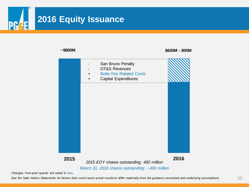# **2016 Equity Issuance** DC



*See the Safe Harbor Statements for factors that could cause actual results to differ materially from the guidance presented and underlying assumptions.*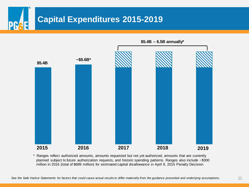



\* Ranges reflect authorized amounts, amounts requested but not yet authorized, amounts that are currently planned subject to future authorization requests, and historic spending patterns. Ranges also include ~\$300 million in 2016 (total of \$689 million) for estimated capital disallowance in April 9, 2015 Penalty Decision.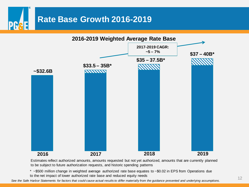



Estimates reflect authorized amounts, amounts requested but not yet authorized, amounts that are currently planned to be subject to future authorization requests, and historic spending patterns

\* ~\$500 million change in weighted average authorized rate base equates to ~\$0.02 in EPS from Operations due to the net impact of lower authorized rate base and reduced equity needs

*See the Safe Harbor Statements for factors that could cause actual results to differ materially from the guidance presented and underlying assumptions.*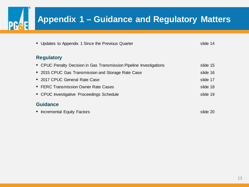| <b>Appendix 1 - Guidance and Regulatory Matters</b>                 |          |
|---------------------------------------------------------------------|----------|
| • Updates to Appendix 1 Since the Previous Quarter                  | slide 14 |
| <b>Regulatory</b>                                                   |          |
| • CPUC Penalty Decision in Gas Transmission Pipeline Investigations | slide 15 |
| • 2015 CPUC Gas Transmission and Storage Rate Case                  | slide 16 |
| • 2017 CPUC General Rate Case                                       | slide 17 |
| • FERC Transmission Owner Rate Cases                                | slide 18 |
| • CPUC Investigative Proceedings Schedule                           | slide 19 |
| <b>Guidance</b>                                                     |          |
| <b>Incremental Equity Factors</b>                                   | slide 20 |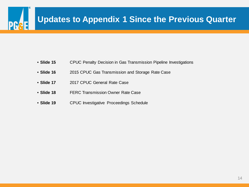

- **Slide 15** CPUC Penalty Decision in Gas Transmission Pipeline Investigations
- **Slide 16** 2015 CPUC Gas Transmission and Storage Rate Case
- **Slide 17** 2017 CPUC General Rate Case
- **Slide 18** FERC Transmission Owner Rate Case
- **Slide 19** CPUC Investigative Proceedings Schedule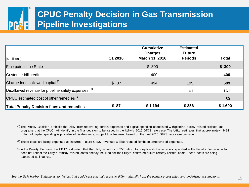# **CPUC Penalty Decision in Gas Transmission Pipeline Investigations**

| $(\$$ millions)                                       | Q1 2016 | <b>Cumulative</b><br><b>Charges</b><br>March 31, 2016 | <b>Estimated</b><br><b>Future</b><br><b>Periods</b> | <b>Total</b> |
|-------------------------------------------------------|---------|-------------------------------------------------------|-----------------------------------------------------|--------------|
| <b>Fine paid to the State</b>                         |         | \$300                                                 |                                                     | \$300        |
| Customer bill credit                                  |         | 400                                                   |                                                     | 400          |
| Charge for disallowed capital $(1)$                   | \$87    | 494                                                   | 195                                                 | 689          |
| Disallowed revenue for pipeline safety expenses $(2)$ |         |                                                       | 161                                                 | 161          |
| CPUC estimated cost of other remedies $(3)$           |         |                                                       |                                                     | 50           |
| <b>Total Penalty Decision fines and remedies</b>      | \$87    | \$1,194                                               | \$356                                               | \$1,600      |

(1) The Penalty Decision prohibits the Utility from recovering certain expenses and capital spending associated w ith pipeline safety-related projects and programs that the CPUC w ill identify in the final decision to be issued in the Utility's 2015 GT&S rate case. The Utility estimates that approximately \$494 million of capital spending is probable of disallow ance, subject to adjustment based on the final 2015 GT&S rate case decision.

 $(2)$  These costs are being expensed as incurred. Future GT&S revenues will be reduced for these unrecovered expenses.

(3) In the Penalty Decision, the CPUC estimated that the Utility w ould incur \$50 million to comply w ith the remedies specified in the Penalty Decision, w hich does not reflect the Utility's remedy-related costs already incurred nor the Utility's estimated future remedy-related costs. These costs are being expensed as incurred.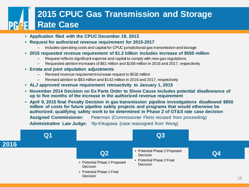# **2015 CPUC Gas Transmission and Storage Rate Case**

- **Application filed with the CPUC December 19, 2013**
- **Request for authorized revenue requirement for 2015-2017**
	- Includes operating costs and capital for CPUC jurisdictional gas transmission and storage
- **2015 requested revenue requirement of \$1.3 billion includes increase of \$555 million**
	- Request reflects significant expense and capital to comply with new gas regulations
	- Requested attrition increases of \$61 million and \$168 million in 2016 and 2017, respectively
- **Errata and joint stipulation adjustments**
	- Revised revenue requirement increase request to \$532 million
	- Revised attrition to \$83 million and \$142 million in 2016 and 2017, respectively
- **ALJ approved revenue requirement retroactivity to January 1, 2015**
- **November 2014 Decision on Ex Parte Order to Show Cause includes potential disallowance of up to five months of the increase in the authorized revenue requirement**
- **April 9, 2015 final Penalty Decision in gas transmission pipeline investigations disallowed \$850 million of costs for future pipeline safety projects and programs that would otherwise be authorized; qualifying safety work to be determined in Phase 2 of GT&S rate case decision Assigned Commissioner:** Peterman (Commissioner Florio recused from proceeding) **Administrative Law Judge:** Yip-Kikugawa (case reassigned from Wong)

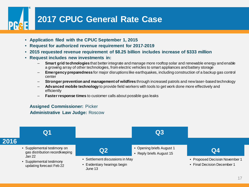# **2017 CPUC General Rate Case**

- **Application filed with the CPUC September 1, 2015**
- **Request for authorized revenue requirement for 2017-2019**
- **2015 requested revenue requirement of \$8.25 billion includes increase of \$333 million**
- **Request includes new investments in:**
	- **Smart grid technologies** that better integrate and manage more rooftop solar and renewable energy and enable a growing array of other technologies, from electric vehicles to smart appliances and battery storage
	- **Emergency preparedness** for major disruptions like earthquakes, including construction of a backup gas control center
	- **Stronger prevention and management of wildfires** through increased patrols and new laser-based technology
	- **Advanced mobile technology** to provide field workers with tools to get work done more effectively and efficiently
	- **Faster response times** to customer calls about possible gas leaks

## **Assigned Commissioner:** Picker  **Administrative Law Judge:** Roscow

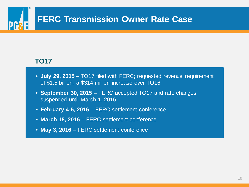# **FERC Transmission Owner Rate Case**

## **TO17**

- **July 29, 2015** TO17 filed with FERC; requested revenue requirement of \$1.5 billion, a \$314 million increase over TO16
- **September 30, 2015** FERC accepted TO17 and rate changes suspended until March 1, 2016
- **February 4-5, 2016** FERC settlement conference
- **March 18, 2016**  FERC settlement conference
- **May 3, 2016**  FERC settlement conference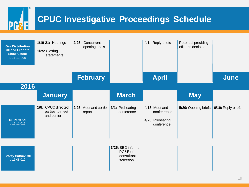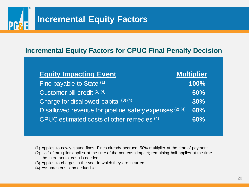# **Incremental Equity Factors**

## **Incremental Equity Factors for CPUC Final Penalty Decision**

| <b>Equity Impacting Event</b>                           | <b>Multiplier</b> |
|---------------------------------------------------------|-------------------|
| Fine payable to State (1)                               | 100%              |
| Customer bill credit <sup>(2)(4)</sup>                  | 60%               |
| Charge for disallowed capital (3) (4)                   | 30%               |
| Disallowed revenue for pipeline safety expenses (2) (4) | 60%               |
| CPUC estimated costs of other remedies (4)              | 60%               |

- (1) Applies to newly issued fines. Fines already accrued: 50% multiplier at the time of payment
- (2) Half of multiplier applies at the time of the non-cash impact; remaining half applies at the time the incremental cash is needed
- (3) Applies to charges in the year in which they are incurred
- (4) Assumes costs tax deductible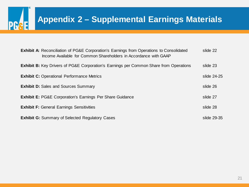## **PG&E Appendix 2 – Supplemental Earnings Materials**

| <b>Exhibit A:</b> Reconciliation of PG&E Corporation's Earnings from Operations to Consolidated<br>Income Available for Common Shareholders in Accordance with GAAP | slide 22    |
|---------------------------------------------------------------------------------------------------------------------------------------------------------------------|-------------|
| <b>Exhibit B:</b> Key Drivers of PG&E Corporation's Earnings per Common Share from Operations                                                                       | slide 23    |
| <b>Exhibit C:</b> Operational Performance Metrics                                                                                                                   | slide 24-25 |
| <b>Exhibit D: Sales and Sources Summary</b>                                                                                                                         | slide 26    |
| <b>Exhibit E: PG&amp;E Corporation's Earnings Per Share Guidance</b>                                                                                                | slide 27    |
| <b>Exhibit F: General Earnings Sensitivities</b>                                                                                                                    | slide 28    |
| <b>Exhibit G:</b> Summary of Selected Regulatory Cases                                                                                                              | slide 29-35 |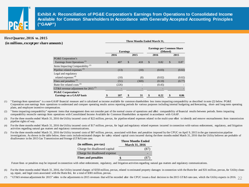

**Exhibit A: Reconciliation of PG&E Corporation's Earnings from Operations to Consolidated Income Available for Common Shareholders in Accordance with Generally Accepted Accounting Principles ("GAAP")**

**Three Months Ended March 31,** 

#### **First Quarter, 2016 vs. 2015 (in millions, except per share amounts)**

| oumus i                                      |                 |       |    |                                               |    |        |    |        |
|----------------------------------------------|-----------------|-------|----|-----------------------------------------------|----|--------|----|--------|
|                                              | <b>Earnings</b> |       |    | <b>Earnings per Common Share</b><br>(Diluted) |    |        |    |        |
|                                              |                 | 2016  |    | 2015                                          |    | 2016   |    | 2015   |
| PG&E Corporation's                           |                 |       |    |                                               |    |        |    |        |
| Earnings from Operations <sup>(1)</sup>      | \$              | 407   | \$ | 418                                           | \$ | 0.82   | \$ | 0.87   |
| Items Impacting Comparability <sup>(2)</sup> |                 |       |    |                                               |    |        |    |        |
| Pipeline related expenses <sup>(3)</sup>     |                 | (13)  |    | (10)                                          |    | (0.03) |    | (0.02) |
| Legal and regulatory                         |                 |       |    |                                               |    |        |    |        |
| related expenses <sup>(4)</sup>              |                 | (10)  |    | (8)                                           |    | (0.02) |    | (0.02) |
| Fines and penalties $(5)$                    |                 | (51)  |    | (369)                                         |    | (0.10) |    | (0.77) |
| Butte fire related costs (6)                 |                 | (226) |    |                                               |    | (0.45) |    |        |
| GT&S revenue adjustment for 2015 $(7)$       |                 |       |    |                                               |    |        |    |        |
| <b>PG&amp;E Corporation's</b>                |                 |       |    |                                               |    |        |    |        |
| <b>Earnings on a GAAP basis</b>              | \$              | 107   | \$ | 31                                            | \$ | 0.22   | \$ | 0.06   |

(1) " Earnings from operations" is a non-GAAP financial measure and is calculated as income available for common shareholders less items impacting comparability as described in note (2) below. PG&E Corporation uses earnings from operations to understand and compare operating results across reporting periods for various purposes including internal budgeting and forecasting, short- and long-term operating plans, and employee incentive compensation.

(2) "Items impacting comparability" represent items that management does not consider part of the normal course of operations and affect comparability of financial results between periods. Items impacting comparability reconcile earnings from operations with Consolidated Income Available for Common Shareholders as reported in accordance with GAAP.

- (3) For the three months ended March 31, 2016 the Utility incurred costs of \$22 million, pre-tax, for pipeline related expenses related to the multi-year effort to identify and remove encroachments from transmission pipeline rights of way.
- (4) For the three months ended March 31, 2016 the Utility incurred costs of \$17 million, pre-tax, for legal and regulatory related expenses incurred in connection with various enforcement, regulatory, and litigation activities regarding natural gas matters and regulatory communications.
- (5) For the three months ended March 31, 2016 the Utility incurred costs of \$87 million, pre-tax, associated with fines and penalties imposed by the CPUC on April 9, 2015 in the gas transmission pipeline investigations. As shown in the table below, these costs include estimated charges for safety related capital costs incurred during the three months ended March 31, 2016 that the Utility believes are probable of disallowance in the 2015 Gas Transmission and Storage (GT&S) rate case.

| (in millions, pre-tax)        | <b>Three Months Ended</b><br><b>March 31, 2016</b> |
|-------------------------------|----------------------------------------------------|
| Charge for disallowed capital | 187                                                |
| Charge for disallowed expense |                                                    |
| <b>Fines and penalties</b>    |                                                    |

Future fines or penalties may be imposed in connection with other enforcement, regulatory, and litigation activities regarding natural gas matters and regulatory communications.

- For the three months ended March 31, 2016, the Utility incurred charges of \$350 million, pre-tax, related to estimated property damages in connection with the Butte fire and \$31 million, pre-tax, for Utility cleanup, repair, and legal costs associated with the Butte fire, for a total of \$381 million, pre-tax.
- (7) "GT&S revenue adjustment for 2015" refers to the adjustments to 2015 revenues that will be recorded after the CPUC issues a final decision in the 2015 GT&S rate case, which the Utility expects in 2016. 22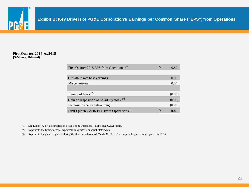

#### **First Quarter, 2016 vs. 2015 (\$/Share, Diluted)**

| First Quarter 2015 EPS from Operations <sup>(1)</sup> | <b>S</b> | 0.87   |
|-------------------------------------------------------|----------|--------|
|                                                       |          |        |
| Growth in rate base earnings                          |          | 0.05   |
| Miscellaneous                                         |          | 0.04   |
|                                                       |          |        |
| Timing of taxes $(2)$                                 |          | (0.08) |
| Gain on disposition of SolarCity stock <sup>(3)</sup> |          | (0.03) |
| Increase in shares outstanding                        |          | (0.03) |
| First Quarter 2016 EPS from Operations <sup>(1)</sup> |          | 0.82   |

(1) See Exhibit A for a reconciliation of EPS from Operations to EPS on a GAAP basis.

(2) Represents the timing of taxes reportable in quarterly financial statements.

(3) Represents the gain recognized during the three months ended March 31, 2015. No comparable gain was recognized in 2016.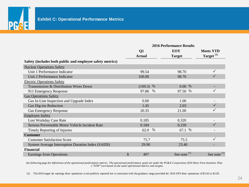

|                                                           | <b>2016 Performance Results</b> |               |      |                |  |                       |
|-----------------------------------------------------------|---------------------------------|---------------|------|----------------|--|-----------------------|
|                                                           |                                 | Q1            |      | <b>EOY</b>     |  | <b>Meets YTD</b>      |
|                                                           |                                 | <b>Actual</b> |      | <b>Target</b>  |  | Target <sup>(1)</sup> |
| Safety (includes both public and employee safety metrics) |                                 |               |      |                |  |                       |
| <b>Nuclear Operations Safety</b>                          |                                 |               |      |                |  |                       |
| Unit 1 Performance Indicator                              |                                 | 99.54         |      | 98.70          |  |                       |
| Unit 2 Performance Indicator                              |                                 | 100.00        |      | 98.70          |  |                       |
| <b>Electric Operations Safety</b>                         |                                 |               |      |                |  |                       |
| Transmission & Distribution Wires Down                    |                                 | $(109.3)$ %   |      | 0.00 %         |  |                       |
| 911 Emergency Response                                    |                                 | 97.80         | %    | 97.50 %        |  |                       |
| <b>Gas Operations Safety</b>                              |                                 |               |      |                |  |                       |
| Gas In-Line Inspection and Upgrade Index                  |                                 | 0.00          |      | 1.00           |  |                       |
| Gas Dig-ins Reduction                                     |                                 | 1.45          |      | 2.03           |  |                       |
| <b>Gas Emergency Response</b>                             |                                 | 20.35         |      | 21.00          |  |                       |
| <b>Employee Safety</b>                                    |                                 |               |      |                |  |                       |
| Lost Workday Case Rate                                    |                                 | 0.185         |      | 0.320          |  |                       |
| Serious Preventable Motor Vehicle Incident Rate           |                                 | 0.184         |      | 0.239          |  |                       |
| Timely Reporting of Injuries                              |                                 | 62.0          | $\%$ | 67.1 %         |  |                       |
| <b>Customer</b>                                           |                                 |               |      |                |  |                       |
| <b>Customer Satisfaction Score</b>                        |                                 | 75.7          |      | 75.5           |  |                       |
| <b>System Average Interruption Duration Index (SAIDI)</b> |                                 | 29.90         |      | 23.40          |  |                       |
| <b>Financial</b>                                          |                                 |               |      |                |  |                       |
| <b>Earnings from Operations</b>                           | \$                              | 407           |      | See note $(1)$ |  | See note $(1)$        |

*See following page for definitions of the operational performance metrics. The operational performance goals set under the PG&E Corporation 2016 Short Term Incentive Plan ("STIP") are based on the same operational metrics and targets.*

(1) The 2016 target for earnings from operations is not publicly reported but is consistent with the guidance range provided for 2016 EPS from operations of \$3.65 to \$3.85.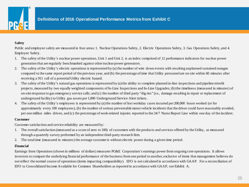

#### **Safety**

Public and employee safety are measured in four areas: 1. Nuclear Operations Safety, 2. Electric Operations Safety, 3. Gas Operations Safety, and 4. Employee Safety.

- 1. The safety of the Utility's nuclear power operations, Unit 1 and Unit 2, is an index comprised of 12 performance indicators for nuclear power generation that are regularly benchmarked against other nuclear power generators.
- 2. The safety of the Utility's electric operations is represented by (a) the number of wire down events with resulting unplanned sustained outages compared to the same report period of the previous year, and (b) the percentage of time that Utility personnel are on site within 60 minutes after receiving a 911 call of a potential Utility electric hazard.
- 3. The safety of the Utility's natural gas operations is represented by (a) the ability to complete planned in-line inspections and pipeline retrofit projects, measured by two equally weighted components of In-Line Inspections and In-Line Upgrades; (b) the timeliness (measured in minutes) of on-site response to gas emergency service calls; and (c) the number of third party "dig-ins" (i.e., damage resulting in repair or replacement of underground facility) to Utility gas assets per 1,000 Underground Service Alert tickets.
- 4. The safety of the Utility's employees is represented by (a) the number of lost workday cases incurred per 200,000 hours worked (or for approximately every 100 employees), (b) the number of serious preventable motor vehicle incidents that the driver could have reasonably avoided, per one million miles driven, and (c) the percentage of work-related injuries reported to the 24/7 Nurse Report Line within one day of the incident.

#### **Customer**

Customer satisfaction and service reliability are measured by:

- 1. The overall satisfaction (measured as a score of zero to 100) of customers with the products and services offered by the Utility, as measured through a quarterly survey performed by an independent third-party research firm.
- 2. The total time (measured in minutes) the average customer is without electric power during a given time period.

#### **Financial**

Earnings from Operations (shown in millions of dollars) measures PG&E Corporation's earnings power from ongoing core operations. It allows investors to compare the underlying financial performance of the business from one period to another, exclusive of items that management believes do not reflect the normal course of operations (items impacting comparability). EFO is not calculated in accordance with GAAP. For a reconciliation of EFO to Consolidated Income Available for Common Shareholders as reported in accordance with GAAP, see Exhibit A.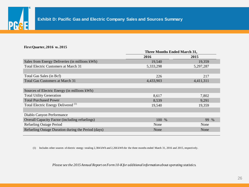

#### **First Quarter, 2016 vs. 2015**

|                                                       | <b>Three Months Ended March 31,</b> |           |  |  |
|-------------------------------------------------------|-------------------------------------|-----------|--|--|
|                                                       | 2016                                | 2015      |  |  |
| Sales from Energy Deliveries (in millions kWh)        | 19,540                              | 19,359    |  |  |
| Total Electric Customers at March 31                  | 5,333,298                           | 5,297,287 |  |  |
|                                                       |                                     |           |  |  |
| Total Gas Sales (in Bcf)                              | 226                                 | 217       |  |  |
| <b>Total Gas Customers at March 31</b>                | 4,433,903                           | 4,411,311 |  |  |
|                                                       |                                     |           |  |  |
| Sources of Electric Energy (in millions kWh)          |                                     |           |  |  |
| <b>Total Utility Generation</b>                       | 8,617                               | 7,802     |  |  |
| <b>Total Purchased Power</b>                          | 8,539                               | 9,291     |  |  |
| Total Electric Energy Delivered <sup>(1)</sup>        | 19,540                              | 19,359    |  |  |
|                                                       |                                     |           |  |  |
| Diablo Canyon Performance                             |                                     |           |  |  |
| <b>Overall Capacity Factor (including refuelings)</b> | 100 %                               | 99 %      |  |  |
| <b>Refueling Outage Period</b>                        | None                                | None      |  |  |
| Refueling Outage Duration during the Period (days)    | None                                | None      |  |  |
|                                                       |                                     |           |  |  |

(1) Includes other sources of electric energy totaling 2,384 kWh and 2,266 kWh for the three months ended March 31, 2016 and 2015, respectively.

*Please see the 2015 Annual Report on Form 10-K for additional information about operating statistics.*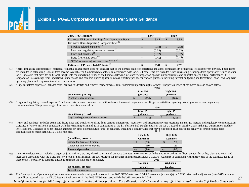

## **Exhibit E: PG&E Corporation's Earnings Per Share Guidance**

| <b>2016 EPS Guidance</b>                             | Low    |               | High   |
|------------------------------------------------------|--------|---------------|--------|
| Estimated EPS on an Earnings from Operations Basis   | 3.65   | <sup>\$</sup> | 3.85   |
| Estimated Items Impacting Comparability: (1)         |        |               |        |
| Pipeline related expenses <sup>(2)</sup>             | (0.18) | S             | (0.12) |
| Legal and regulatory related expenses <sup>(3)</sup> | (0.09) |               | (0.03) |
| Fines and penalties <sup>(4)</sup>                   | (0.52) |               | (0.52) |
| Butte fire related costs <sup>(5)</sup>              | (0.45) | $\tilde{}$    | (0.45) |
| GT&S revenue adjustment(s) for 2015 <sup>(6)</sup>   |        |               |        |
| <b>Estimated EPS on a GAAP Basis (6)</b>             | 2.41   |               | 2.73   |

(1) " Items impacting comparability" represent items that management does not consider part of the normal course of operations and affect comparability of financial results between periods. These items are included in calculating Consolidated Income Available for Common Shareholders in accordance with GAAP. These items are excluded when calculating "earnings from operations" which is a non-GAAP measure that provides additional insight into the underlying trends of the business allowing for a better comparison against historical results and expectations for future performance. PG&E Corporation uses earnings from operations to understand and compare operating results across reporting periods for various purposes including internal budgeting and forecasting, short- and long-term operating plans, and employee incentive compensation.

(2) " Pipeline related expenses" includes costs incurred to identify and remove encroachments from transmission pipeline rights-of-way. The pre-tax range of estimated costs is shown below.

|                           | 2016           |       |  |                 |
|---------------------------|----------------|-------|--|-----------------|
|                           | <b>Low EPS</b> |       |  | <b>High EPS</b> |
| $(in$ millions, pre-tax)  | guidance       |       |  | guidance        |
| Pipeline related expenses |                | (150) |  | (100)           |

(3) " Legal and regulatory related expenses" includes costs incurred in connection with various enforcement, regulatory, and litigation activities regarding natural gas matters and regulatory communications. The pre-tax range of estimated costs is shown below.

|                                       |          |                | 2016 |                 |
|---------------------------------------|----------|----------------|------|-----------------|
|                                       |          | <b>Low EPS</b> |      | <b>High EPS</b> |
| $(in$ millions, pre-tax)              | guidance |                |      | guidance        |
| Legal and regulatory related expenses |          |                |      | (25             |

(4) " Fines and penalties" includes actual and future fines and penalties resulting from various enforcement, regulatory and litigation activities regarding natural gas matters and regulatory communications. Guidance of ~\$440 million is consistent with the remaining estimated 2016 components of the \$1.6 billion final penalty decision the CPUC issued on April 9, 2015 in the gas transmission pipeline investigations. Guidance does not include amounts for other potential future fines or penalties, including a disallowance that may be imposed as an additional penalty for prohibited ex parte communications made in the  $2015$  GT &S rate. **2016**

| e case.                       | 4010       |                 |            |                 |
|-------------------------------|------------|-----------------|------------|-----------------|
|                               |            | <b>Low EPS</b>  |            | <b>High EPS</b> |
| (in millions, pre-tax)        |            | <b>Guidance</b> |            | <b>Guidance</b> |
| Charge for disallowed capital |            | (280)           |            | (280)           |
| Charge for disallowed expense | $\tilde{}$ | (160)           | $\tilde{}$ | (160)           |
| <b>Fines and penalties</b>    |            | (440)           | $\sim$ S   | (440)           |

(5) " Butte fire related costs" includes charges of \$350 million, pre-tax, related to estimated property damages in connection with the Butte fire and \$31 million, pre-tax, for Utility clean-up, repair, and legal costs associated with the Butte fire, for a total of \$381 million, pre-tax, recorded for the three months ended March 31, 2016. Guidance is consistent with the low end of the estimated range of these costs. The Utility is currently unable to estimate the high end of the range. **2016**

| 2010.    |       |                |                 |
|----------|-------|----------------|-----------------|
|          |       |                | <b>High EPS</b> |
| Guidance |       |                | Guidance        |
| $\sim$ b | (381) |                | (381)           |
|          |       | <b>Low EPS</b> |                 |

27

(6) The Earnings from Operations guidance assumes a reasonable timing and outcome in the 2015 GT&S rate case. " GT&S revenue adjustment(s) for 2015" refers to the adjustment(s) to 2015 revenues that will be recorded after the CPUC issues a final decision in the 2015 GT&S rate case, which the Utility expects in 2016.

*Actual financial results for 2016 may differ materially from the guidance provided. For a discussion of the factors that may affect future results, see the Safe Harbor Statements.*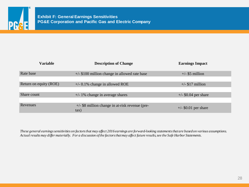

| <b>Variable</b>        | <b>Description of Change</b>                                  | <b>Earnings Impact</b> |
|------------------------|---------------------------------------------------------------|------------------------|
| Rate base              | $+/-$ \$100 million change in allowed rate base               | $+/-$ \$5 million      |
| Return on equity (ROE) | $+/- 0.1\%$ change in allowed ROE                             | $+/-$ \$17 million     |
| Share count            | $+/- 1\%$ change in average shares                            | $+/-$ \$0.04 per share |
| Revenues               | $+/-$ \$8 million change in at-risk revenue (pre-<br>$\tan$ ) | $+/-$ \$0.01 per share |

*These general earnings sensitivities on factors that may affect 2016 earnings are forward-looking statements that are based on various assumptions. Actual results may differ materially. For a discussion of the factors that may affect future results, see the Safe Harbor Statements.*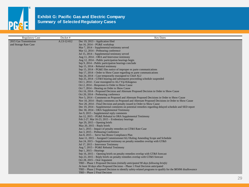

| <b>Regulatory Case</b> | Docket#     | <b>Key Dates</b>                                                                                                   |
|------------------------|-------------|--------------------------------------------------------------------------------------------------------------------|
| 2015 Gas Transmission  | A.13-12-012 | Dec 19, 2013 – Application filed                                                                                   |
| and Storage Rate Case  |             | Jan 16, 2014 - PG&E workshop                                                                                       |
|                        |             | Mar 7, 2014 – Supplemental testimony served                                                                        |
|                        |             | Mar 12, 2014 – Prehearing conference                                                                               |
|                        |             | Jul 15, 2014 – Supplemental testimony served                                                                       |
|                        |             | Aug 11, $2014 - ORA$ and Intervenor testimony                                                                      |
|                        |             | Aug 12, 2014 – Public participation hearings begin                                                                 |
|                        |             | Sep 9, 2014 – Public participation hearings conclude                                                               |
|                        |             | Sep 15, 2014 – Rebuttal testimony                                                                                  |
|                        |             | Sep 15, $2014 - PG & E$ files notice of improper ex parte communications                                           |
|                        |             | Sep 17, 2014 – Order to Show Cause regarding ex parte communications                                               |
|                        |             | Sep 24, 2014 – Case temporarily reassigned to Chief ALJ                                                            |
|                        |             | Sep $25$ , $2014 - GT\&S$ hearing and subsequent proceeding schedule suspended                                     |
|                        |             | Oct 1, 2014 – Case reassigned to ALJ Yip-Kikugawa                                                                  |
|                        |             | Oct 2, 2014 – Responses to Order to Show Cause                                                                     |
|                        |             | Oct 7, 2014 – Hearing on Order to Show Cause                                                                       |
|                        |             | Oct 16, 2014 – Proposed Decision and Alternate Proposed Decision in Order to Show Cause                            |
|                        |             | Oct 20, 2014 – Prehearing conference                                                                               |
|                        |             | Nov 5, 2014 – Comments on Proposed and Alternate Proposed Decisions in Order to Show Cause                         |
|                        |             | Nov 10, 2014 – Reply comments on Proposed and Alternate Proposed Decisions in Order to Show Cause                  |
|                        |             | Nov 20, 2014 – Final Decision and penalty issued in Order to Show Cause                                            |
|                        |             | Dec 19, 2014 – Supplemental comments on potential remedies regarding delayed schedule and SED report               |
|                        |             | Dec 30, 2014 – ORA Supplemental Testimony                                                                          |
|                        |             | Jan 9, 2015 – Supplemental reply comments                                                                          |
|                        |             | Jan 12, 2015 – PG&E Rebuttal to ORA Supplemental Testimony                                                         |
|                        |             | Feb 2-27, Mar $16-23$ , $2015$ – Evidentiary hearings                                                              |
|                        |             | Apr 29, $2015 -$ Opening briefs                                                                                    |
|                        |             | May $20$ , $2015$ – Reply briefs                                                                                   |
|                        |             | Jun 1, 2015 – Impact of penalty remedies on GT&S Rate Case                                                         |
|                        |             | Jun 3, 2015 – Prehearing Conference                                                                                |
|                        |             | Jun 8, 2015 – Serve San Bruno Compliance Plan                                                                      |
|                        |             | June 11, 2015 – Assigned Commissioner/ALJ Ruling Amending Scope and Schedule                                       |
|                        |             | Jun 24, 2015 - Supplemental testimony on penalty remedies overlap with GT&S<br>Jul 17, 2015 - Intervenor Testimony |
|                        |             | Aug 7, 2015 - PG&E Rebuttal Testimony                                                                              |
|                        |             | Sep $1, 2015$ – Hearings                                                                                           |
|                        |             | Sep 16, $2015 -$ Opening briefs on penalty remedies overlap with GT&S forecast                                     |
|                        |             | Sep 23, 2015 – Reply briefs on penalty remedies overlap with GT&S forecast                                         |
|                        |             | Oct 28, $2015 -$ Oral Argument                                                                                     |
|                        |             | TBD – Phase 1 Proposed Decision (initially anticipated 90 days following briefs)                                   |
|                        |             | At least 30 days after Proposed Decision - Phase 1 Final Decision anticipated                                      |
|                        |             | TBD – Phase 2 Proposed Decision to identify safety-related programs to qualify for the \$850M disallowance         |
|                        |             | TBD - Phase 2 Final Decision                                                                                       |
|                        |             |                                                                                                                    |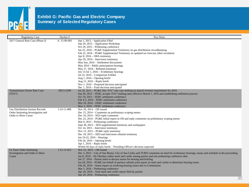

| <b>Regulatory Case</b>                                                                        | Docket#           | <b>Key Dates</b>                                                                                                                                                                                                                                                                                                                                                                                                                                                                                                                                                                                                                                                                                                                             |
|-----------------------------------------------------------------------------------------------|-------------------|----------------------------------------------------------------------------------------------------------------------------------------------------------------------------------------------------------------------------------------------------------------------------------------------------------------------------------------------------------------------------------------------------------------------------------------------------------------------------------------------------------------------------------------------------------------------------------------------------------------------------------------------------------------------------------------------------------------------------------------------|
| 2017 General Rate Case (Phase I)                                                              | A. 15-09-001      | Sep 1, 2015 - Application Filed<br>Sep 29, 2015 - Application Workshop<br>Oct 29, 2015 – Prehearing conference<br>Jan 22, 2016 - PG&E Supplemental Testimony on gas distribution recordkeeping<br>Feb 22, 2016 - PG&E Supplemental Testimony on updated tax forecast, labor escalation<br>Apr 8, 2016 – ORA testimony<br>Apr 29, 2016 – Intervenor testimony<br>May-Jun, 2016 - Settlement discussions<br>May 2016 - Public participation hearings<br>May 27, 2016 – Rebuttal testimony<br>Jun 13-Jul 1, 2016 – Evidentiary hearings<br>Jul 22, 2016 – Comparison Exhibit<br>Aug $1, 2016$ – Opening briefs<br>Aug $15$ , $2016$ – Reply briefs<br>Nov 1, 2016 – Proposed decision anticipated<br>Dec $1, 2016$ – Final decision anticipated |
| <b>Transmission Owner Rate Case</b><br>(TO17)                                                 | ER15-2294         | Jul 29, 2015 – PG&E files TO17 rate case seeking an annual revenue requirement for 2016<br>Sep 30, 2015 – FERC accepts TO17 making rates effective March 1, 2016 and establishing settlement process<br>Oct 19, 2015 – FERC settlement conference<br>Feb 4-5, 2016 – FERC settlement conference<br>Mar 18, 2016 – FERC settlement conference<br>May 3, 2016 – FERC settlement conference                                                                                                                                                                                                                                                                                                                                                     |
| Gas Distribution System Records<br>Order Instituting Investigation and<br>Order to Show Cause | $I.14-11-008$     | Nov 20, $2014 - OII$ issued<br>Dec 15, 2014 – Comments on preliminary scoping memo<br>Dec 18, $2014 - SED$ reply comments<br>Dec 22, 2014 – PG&E initial report in OII and reply comments on preliminary scoping memo<br>Mar 9, 2015 – Prehearing conference<br>Sept 30, 2015 – SED supplemental testimony and workpapers<br>Oct 14, 2015 – Intervenor testimony<br>Nov 12, 2015 – PG&E reply testimony<br>Dec 18, 2015 – SED and intervenor rebuttal testimony<br>Jan 19-22, 2016 - Hearings<br>Feb $26$ , $2016$ – Opening briefs<br>Apr $1, 2016$ – Reply briefs<br>Within 60 days of reply briefs - Presiding Officer's decision expected                                                                                                |
| Ex Parte Order Instituting<br>Investigation and Order to Show<br>Cause                        | $I.15 - 11 - 015$ | Nov 23, 2015 - OII issued<br>Dec 3, 2015 – City of San Bruno, City of San Carlos and TURN comments on need for evidentiary hearings, issues and schedule in the proceeding<br>Jan 8, 2016 – ALJ Bushey orders meet and confer among parties and sets prehearing conference date<br>Jan 27, 2016 – Parties meet to discuss issues for hearing and briefing<br>Jan 28, 2016 – PG&E (on behalf of parties) submits joint report on meet and confer to determine hearing issues<br>Feb 26, 2016 - Status report on resolving hearing issues due to Commission<br>Mar 1, 2016 – Prehearing conference<br>Apr 18, 2016 – Joint meet and confer report filed by parties<br>Apr 20, 2016 – Prehearing conference                                     |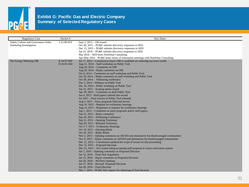

| <b>Regulatory Case</b>              | Docket#     | <b>Key Dates</b>                                                                        |
|-------------------------------------|-------------|-----------------------------------------------------------------------------------------|
| Safety Culture and Governance Order | I.15-08-019 | Sept $2$ , $2015 - OII$ issued                                                          |
| <b>Instituting Investigation</b>    |             | Oct 30, 2015 – PG&E submits discovery responses to SED                                  |
|                                     |             | Dec 15, 2015 – PG&E submits discovery responses to SED                                  |
|                                     |             | Jan 25, 2016 – PG&E submits discovery responses to SED                                  |
|                                     |             | Mar 2016 – SED hires NorthStar Consulting                                               |
|                                     |             | Apr-May 2016 – PG&E hosts series of orientation meetings with NorthStar Consulting      |
| Net Energy Metering OIR             | R.14-07-002 | Jul 17, 2014 – Commission issues OIR to establish net metering successor tariffs        |
|                                     | D.16-01-044 | Aug 11, 2014 – Staff workshop on Public Tool                                            |
|                                     |             | Aug $18$ , $2014$ – Comments on OIR                                                     |
|                                     |             | Aug 26, 2014 – Reply comments on OIR                                                    |
|                                     |             | Oct 6, 2014 – Comments on staff workshop and Public Tool                                |
|                                     |             | Oct 20, 2014 – Reply comments on staff workshop and Public Tool                         |
|                                     |             | Oct 30, 2014 – Prehearing conference                                                    |
|                                     |             | Dec 2, 2014 – Webinar on Public Tool                                                    |
|                                     |             | Dec 16, 2014 – Public workshop on Public Tool                                           |
|                                     |             | Jan 23, 2015 – Scoping memo issued                                                      |
|                                     |             | Apr 28, 2015 – Comments on draft Public Tool                                            |
|                                     |             | Jun 4, 2015 - Staff papers entered into record                                          |
|                                     |             | Jul 2015 – Final version of Public Tool released                                        |
|                                     |             | Aug 3, 2015 – Party proposals filed and served                                          |
|                                     |             | Aug 10, 2015 – Request for evidentiary hearings                                         |
|                                     |             | Aug 14, 2015 – Responses to requests for evidentiary hearings                           |
|                                     |             | Sep 1, 2015 – Comments on party proposals and/or staff papers                           |
|                                     |             | Sep $15$ , $2015$ – Reply comments                                                      |
|                                     |             | Sep 18, 2015 – Prehearing Conference                                                    |
|                                     |             | Sep 21, 2015 – Opening Testimony                                                        |
|                                     |             | Sep 30, 2015 – Rebuttal Testimony                                                       |
|                                     |             | Oct 5-7, 2015 – Evidentiary Hearings                                                    |
|                                     |             | Oct 19, $2015 -$ Opening Briefs                                                         |
|                                     |             | Oct 26, $2015$ – Reply Briefs                                                           |
|                                     |             | Nov 2, 2015 – Opening comments on AB 693 and alternatives for disadvantaged communities |
|                                     |             | Nov 9, 2015 – Reply comments on AB 693 and alternatives for disadvantaged communities   |
|                                     |             | Dec $11, 2015$ – Commission updated the scope of issues for this proceeding             |
|                                     |             | Dec 15, 2015 – Proposed Decision                                                        |
|                                     |             | Dec 23, 2015 - ALJ issued ruling accepting staff proposal to create reservation system  |
|                                     |             | Jan 7, 2016 – Opening comments on Proposed Decision                                     |
|                                     |             | Jan 12, 2016 – Final Oral Arguments                                                     |
|                                     |             | Jan 15, 2016 - Reply comments on Proposed Decision<br>Jan 20, 2016 – All-Party meeting  |
|                                     |             |                                                                                         |
|                                     |             | Jan 27, 2016 – Revised Proposed Decision                                                |
|                                     |             | Jan $28$ , $2016$ – Final Decision                                                      |
|                                     |             | Mar $7, 2016 - PG & E$ files request for rehearing of final decision                    |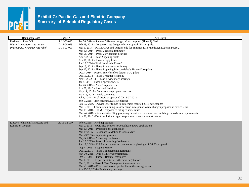

| <b>Regulatory Case</b>              | Docket#      | <b>Key Dates</b>                                                                                                           |
|-------------------------------------|--------------|----------------------------------------------------------------------------------------------------------------------------|
| <b>Residential Rate OIR</b>         | R.12-06-013  | Jan 28, 2014 – Summer 2014 rate design reform proposal (Phase 2) filed                                                     |
| Phase 1: long-term rate design      | D.14-06-029  | Feb 28, 2014 – Long-term rate design reform proposal (Phase 1) filed                                                       |
| Phase 2: 2014 summer rate relief    | D.15-07-001  | Mar 5, 2014 – PG&E, ORA and TURN settle for Summer 2014 rate design issues in Phase 2                                      |
|                                     |              | Mar 12, 2014 – Phase 2 rebuttal testimony                                                                                  |
|                                     |              | Mar 25, 2014 – Phase 2 evidentiary hearings                                                                                |
|                                     |              | Apr 7, 2014 – Phase 2 opening briefs<br>Apr $16$ , $2014$ – Phase 2 reply briefs                                           |
|                                     |              | Jun 12, 2014 – Final decision in Phase 2                                                                                   |
|                                     |              | Sep 15, $2014$ – Phase 1 intervenor testimony                                                                              |
|                                     |              | Sep 22, 2014 – Phase 1 opening brief on default Time-of-Use pilots                                                         |
|                                     |              | Oct 3, 2014 – Phase 1 reply brief on default TOU pilots                                                                    |
|                                     |              | Oct 15, 2014 – Phase 1 rebuttal testimony                                                                                  |
|                                     |              | Nov 3-25, $2014$ – Phase 1 evidentiary hearings                                                                            |
|                                     |              | Jan $5$ , $2015$ – Phase 1 opening briefs                                                                                  |
|                                     |              | Jan $26$ , $2015$ – Phase 1 reply briefs                                                                                   |
|                                     |              | Apr 21, 2015 – Proposed decision                                                                                           |
|                                     |              | May 11, 2015 – Comments on proposed decision<br>May $16$ , $2015$ – Reply comments                                         |
|                                     |              | Jul 3, 2015 – Final Decision approved (D.15-07-001)                                                                        |
|                                     |              | Sep 1, 2015 – Implemented 2015 rate change                                                                                 |
|                                     |              | Feb 17, 2016 – Advice letter filings to implement required 2016 rate changes                                               |
|                                     |              | Mar 9, 2016 – Commission ruling to show cause in response to rate changes proposed in advice letter                        |
|                                     |              | Mar 11, 2016 – PG&E response to ruling to show cause                                                                       |
|                                     |              | Mar 24, 2016 – Advice letter filing proposing three-tiered rate structure resolving contradictory requirements             |
|                                     |              | Apr 20, 2016 –Draft resolution to approve proposed three tier rate structure                                               |
| Electric Vehicle Infrastructure and | A. 15-02-009 | Feb $9, 2015$ – Filed application                                                                                          |
| <b>Education Program</b>            |              | Mar 2, 2015 – MCE filed Motion to Consolidate IOUs' applications                                                           |
|                                     |              | Mar $13$ , $2015$ – Protests to the application                                                                            |
|                                     |              | Mar 17 2015 – Responses to Motion to Consolidate                                                                           |
|                                     |              | Mar $23\,2015$ – Replies to protests                                                                                       |
|                                     |              | May 5, 2015 – Prehearing Conference                                                                                        |
|                                     |              | Jun 12, 2015 – Second Prehearing Conference<br>Jun 16, 2015 – ALJ Ruling requesting comments on phasing of PG&E's proposal |
|                                     |              | $Sep 4, 2015 - Scoping Memo$                                                                                               |
|                                     |              | Oct 12, 2015 – Phase 1 Supplemental testimony                                                                              |
|                                     |              | Nov 30, 2015 – Phase 1 Intervenor testimony                                                                                |
|                                     |              | Dec 21, 2015 – Phase 1 Rebuttal testimony                                                                                  |
|                                     |              | Mar 1, 2016 – Report on status of settlement negotiations                                                                  |
|                                     |              | Mar 8, 2016 – Phase 1 Case Management statement due                                                                        |
|                                     |              | Mar $21, 2016$ – PG&E and several parties file settlement agreement                                                        |
|                                     |              | Apr 25-28, 2016 – Evidentiary hearings                                                                                     |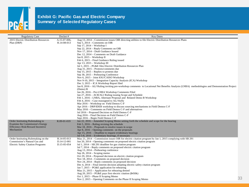

| <b>Regulatory Case</b>                                                                                                     | Docket#                                   | <b>Key Dates</b>                                                                                                                                                                                                                                                                                                                                                                                                                                                                                                                                                                                                                                                                                                                                                                                                                                                                                                                                                                                                                                                                                                                                                                                                                                                                                                                                                                                                                                                                                           |    |
|----------------------------------------------------------------------------------------------------------------------------|-------------------------------------------|------------------------------------------------------------------------------------------------------------------------------------------------------------------------------------------------------------------------------------------------------------------------------------------------------------------------------------------------------------------------------------------------------------------------------------------------------------------------------------------------------------------------------------------------------------------------------------------------------------------------------------------------------------------------------------------------------------------------------------------------------------------------------------------------------------------------------------------------------------------------------------------------------------------------------------------------------------------------------------------------------------------------------------------------------------------------------------------------------------------------------------------------------------------------------------------------------------------------------------------------------------------------------------------------------------------------------------------------------------------------------------------------------------------------------------------------------------------------------------------------------------|----|
| 2015 Electric Distribution Resources<br>Plan (DRP)                                                                         | A.15-07-006,<br>R.14-08-013               | Aug 13, 2014 – Commission issues OIR directing utilities to file Electric Distribution Resources Plans<br>Sep 5, $2014$ – Comments on OIR<br>Sep $17, 2014$ – Workshop I<br>Sep 22, 2014 – Reply Comments on OIR<br>Nov 17, 2014 – Draft Guidance Issued<br>Dec 12, 2014 – Comments on Draft Guidance<br>Jan $8, 2015$ – Workshop II<br>Feb 6, 2015 – Final Guidance Ruling issued<br>Apr $13$ , $2015 - Workshop III$<br>Jul 1, 2015 – PG&E files Electric Distribution Resources Plan<br>Aug 31, 2015 – Protests/comments due<br>Sep $15$ , $2015$ – Replies to protests due<br>Sep 30, 2015 – Prehearing Conference<br>Nov 6, 2015 - Joint IOU/CAISO Workshop<br>Nov 9-10, 2015 – Integration Capacity Analysis (ICA) Workshop<br>Dec 3, 2015 - ICA Workshop Report filed<br>Jan 8, 2016 – ALJ Ruling inviting pre-workshop comments to Locational Net Benefits Analysis (LNBA) methodologies and Demonstration Project<br>$(Demo)$ B<br>Jan 26, 2016 – Pre-LNBA Workshop Comments Filed<br>Jan 27, 2016 – ACR/ALJ Ruling issuing Scope and Schedule<br>Feb 1, 2016 – LNBA, Alternate Proposal and Related Demo B Workshop<br>Feb 4, 2016 – Case reassigned to ALJ Kelly<br>Mar 2016 – Workshop on Field Demos C-F<br>Apr 2016 – DRP/IDER workshop to discuss sourcing mechanisms in Field Demos C-F<br>May 2016 – Comments on Field Demos C-F and alternatives<br>Jul 2016 – Proposed Decision on Field Demos C-F<br>Aug 2016 – Final Decision on Field Demos C-F<br>Sept 2016 – Begin Field Demos C-F |    |
| Order Instituting Rulemaking to<br>Examine the Commission's Energy<br><b>Efficiency Risk/Reward Incentive</b><br>Mechanism | R.09-01-019                               | Jan 22, 2016 – Amended Scoping Memo setting forth the schedule and scope for the hearing<br>Feb $5, 2016$ – Ruling revising the schedule<br>Mar $18$ , $2016$ – Proposals to resolve issues in scope<br>Apr $8, 2016$ – Opening comments on the proposals<br>Apr 15, $2016$ – Deadline to request evidentiary hearings<br>Jul 5-8, 2016 – Evidentiary hearings, if necessary                                                                                                                                                                                                                                                                                                                                                                                                                                                                                                                                                                                                                                                                                                                                                                                                                                                                                                                                                                                                                                                                                                                               |    |
| Order Instituting Rulemaking on the<br>Commission's Natural Gas and<br><b>Electric Safety Citation Programs</b>            | R.14-05-013<br>D.14-12-001<br>D.15-05-054 | May 21, 2014 – Commission issues OIR for electric citation program by Jan 1, 2015 complying with SB 291<br>Jun 20, 2014 – Opening comments on proposed electric citation program<br>Jul 1, 2014 – SB 291 deadline for gas citation program<br>Jul 7, 2014 – Reply comments on proposed electric citation program<br>Aug $13$ , $2014$ – Prehearing conference<br>Sep 26, $2014 -$ Scoping memo<br>Oct 29, 2014 – Proposed decision on electric citation program<br>Nov 18, 2014 – Comments on proposed decision<br>Nov $24$ , $2014$ – Reply comments on proposed decision<br>Dec 4, 2014 – Final interim decision adopting electric safety citation program<br>Jan 7, 2015 – PG&E application for rehearing<br>May 21, $2015$ – Application for rehearing denied<br>Aug 20, 2015 – PG&E pays first electric citation (\$450k)<br>Oct 1, 2015 – Phase II Scoping Memo<br>Nov 2, 2015 – Opening Comments on the Phase II Scoping Memo                                                                                                                                                                                                                                                                                                                                                                                                                                                                                                                                                                       | 33 |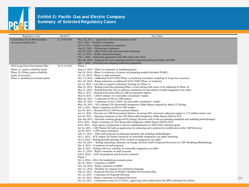

| <b>Regulatory Case</b>                                                                                                                                                     | Docket#      | <b>Key Dates</b>                                                                                                                                                                                                                                                                                                                                                                                                                                                                                                                                                                                                                                                                                                                                                                                                                                                                                                                                                                                                                                                                                                                                                                                                                                                                                                                                                                                                                                                                                                                                                                                                                                                                                                                                                                                                                                                                                                                                                                                                                                                                                                                                                                                                                                                                                                                                                                                                                                                                                                                                                                                                                                                                                                                                                                                                                                                                                                                         |    |
|----------------------------------------------------------------------------------------------------------------------------------------------------------------------------|--------------|------------------------------------------------------------------------------------------------------------------------------------------------------------------------------------------------------------------------------------------------------------------------------------------------------------------------------------------------------------------------------------------------------------------------------------------------------------------------------------------------------------------------------------------------------------------------------------------------------------------------------------------------------------------------------------------------------------------------------------------------------------------------------------------------------------------------------------------------------------------------------------------------------------------------------------------------------------------------------------------------------------------------------------------------------------------------------------------------------------------------------------------------------------------------------------------------------------------------------------------------------------------------------------------------------------------------------------------------------------------------------------------------------------------------------------------------------------------------------------------------------------------------------------------------------------------------------------------------------------------------------------------------------------------------------------------------------------------------------------------------------------------------------------------------------------------------------------------------------------------------------------------------------------------------------------------------------------------------------------------------------------------------------------------------------------------------------------------------------------------------------------------------------------------------------------------------------------------------------------------------------------------------------------------------------------------------------------------------------------------------------------------------------------------------------------------------------------------------------------------------------------------------------------------------------------------------------------------------------------------------------------------------------------------------------------------------------------------------------------------------------------------------------------------------------------------------------------------------------------------------------------------------------------------------------------------|----|
| Catastrophic Event Memorandum<br>Account (CEMA) 2015                                                                                                                       | A. 15-05-016 | May 28, 2015 – Application filed and testimony served<br>Jul 3, $2015$ – Protests or responses<br>Jul 13, 2015 – Reply to protests or responses<br>Aug 12, 2015 – Prehearing Conference<br>Sep 30, 2015 – ORA Final Audit and intervenor testimony<br>Oct 12, 2015 – PG&E rebuttal testimony<br>Feb 1, 2016 – Settlement agreement with ORA filed with CPUC<br>Mar 28, 2016 – Proposed decision adopting settlement agreement between PG&E and ORA<br>Apr 7, 2016 – Final decision adopting settlement agreement                                                                                                                                                                                                                                                                                                                                                                                                                                                                                                                                                                                                                                                                                                                                                                                                                                                                                                                                                                                                                                                                                                                                                                                                                                                                                                                                                                                                                                                                                                                                                                                                                                                                                                                                                                                                                                                                                                                                                                                                                                                                                                                                                                                                                                                                                                                                                                                                                         |    |
| 2014 Long-Term Procurement Plan<br>Phase 1a: system reliability needs<br>Phase 1b: filling system reliability<br>needs, if necessary<br>Phase 2: bundled procurement plans | R.13-12-010  | Phase 1<br>Aug $13$ , $2014$ – Phase 1a testimony of modeling parties<br>Sep 24, $2014$ – Phase 1a testimony of parties not preparing models (includes PG&E)<br>Oct 22, 2014 – Phase 1a reply testimony<br>Nov 13, 2014 – Additional SCE/CAISO Phase 1a testimony (stochastic modeling of Trajectory scenario)<br>Dec 18, 2014 – Reply testimony on additional SCE/CAISO Phase 1a testimony<br>Jan 12, 2015 – Last date to request evidentiary hearings for Phase 1a<br>Mar 25, 2015 – Ruling issued discontinuing Phase 1a and setting forth issues to be addressed in Phase 1b<br>Mar 27, 2015 – Ruling directing SCE to perform simulations for the interim variable integration cost adder<br>May 5, 2015 – Proposed Decision (PD) on CHP procurement matters<br>May 8, 2015 – CAISO submits "no renewable curtailment" studies<br>May 26, 2015 – Comments on PD on CHP matters<br>May 29, 2015 – Comments on the CAISO "no renewable curtailment" studies<br>May 29, 2015 – SCE submits 33% Renewable Integration Adder Report required by March 27 Ruling<br>Jun 2, 2015 – Reply comments on PD on CHP matters<br>Jun 10, 2015 – Revised PD on CHP Procurement Matters<br>Jun 11, 2015 – Decision on CHP Procurement Matters, lowering GHG emissions reduction targets to 2.72 million metric tons<br>Jun 26, 2015 – Opening comments on the 33% Renewable Integration Adder Report filed by SCE<br>Apr-Jun 2015 – Informal working groups led by Energy Division staff to discuss planning standards and modeling methodologies<br>Jul 6, 2015 – Reply comments on 33% Renewable Integration Adder Report filed by SCE<br>Jul 9, 2015 – Joint Agency Symposium to discuss implementation of 2030 GHG reduction goals<br>Jul 15, 2015 – CHP Parties file both an application for rehearing and a petition for modification of the CHP Decision<br>Jul 29, 2015 - LTPP status conference<br>July 27, 2015 – Draft staff proposal on planning standards and modeling methodologies<br>Oct 1, 2015 – SCE request for further extension on renewable integration cost adder modeling<br>Oct 9, 2015 – Ruling partially granting SCE's motion on integration cost adder<br>Nov 16, 2015 – Ruling requesting comments on Energy Division Staff's Proposed Revisions to LTPP Modeling Methodology<br>Dec $4, 2015$ – Comments on staff proposal<br>Dec 8, 2015 – Ruling with new schedule on renewable integration cot adder<br>Dec 11, 2015 – Reply comments on staff proposal<br>Feb $8, 2016 - 2016$ Assumptions and Scenarios released<br>Phase 2<br>Oct 3, 2014 – IOUs file bundled procurement plans<br>Oct 31, 2014 – Comments on BPPs<br>Nov $14$ , $2014$ – Reply comments on BPPs<br>Nov 21, 2014 – Deadline for requests for evidentiary hearings<br>Sep 22, 2015 – Proposed Decision on PG&E's Bundled Procurement Plan<br>Oct 12, 2015 – Comments on Proposed Decision<br>Oct 19, 2015 – Reply Comments on Proposed Decision | 34 |
|                                                                                                                                                                            |              | Oct 22, 2015 – Commission issues D.15-10-031, approving with modifications the BPPs submitted by utilities                                                                                                                                                                                                                                                                                                                                                                                                                                                                                                                                                                                                                                                                                                                                                                                                                                                                                                                                                                                                                                                                                                                                                                                                                                                                                                                                                                                                                                                                                                                                                                                                                                                                                                                                                                                                                                                                                                                                                                                                                                                                                                                                                                                                                                                                                                                                                                                                                                                                                                                                                                                                                                                                                                                                                                                                                               |    |